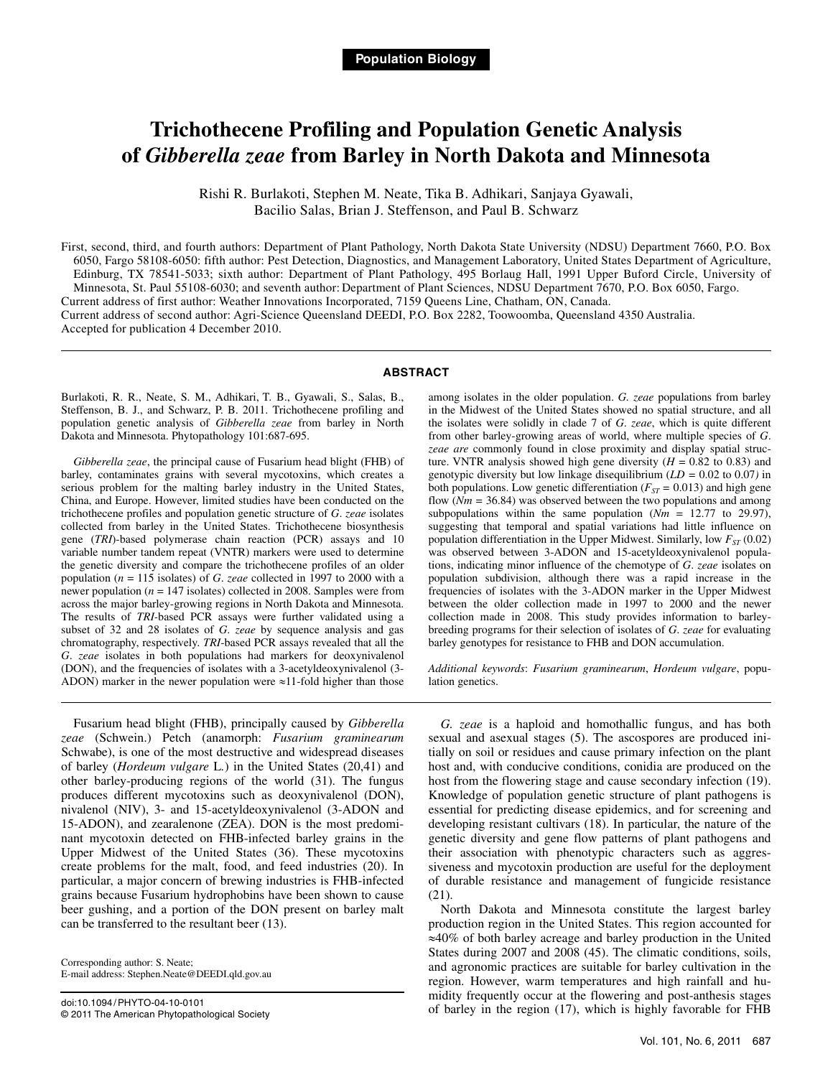# **Trichothecene Profiling and Population Genetic Analysis of** *Gibberella zeae* **from Barley in North Dakota and Minnesota**

Rishi R. Burlakoti, Stephen M. Neate, Tika B. Adhikari, Sanjaya Gyawali, Bacilio Salas, Brian J. Steffenson, and Paul B. Schwarz

First, second, third, and fourth authors: Department of Plant Pathology, North Dakota State University (NDSU) Department 7660, P.O. Box 6050, Fargo 58108-6050: fifth author: Pest Detection, Diagnostics, and Management Laboratory, United States Department of Agriculture, Edinburg, TX 78541-5033; sixth author: Department of Plant Pathology, 495 Borlaug Hall, 1991 Upper Buford Circle, University of Minnesota, St. Paul 55108-6030; and seventh author: Department of Plant Sciences, NDSU Department 7670, P.O. Box 6050, Fargo. Current address of first author: Weather Innovations Incorporated, 7159 Queens Line, Chatham, ON, Canada. Current address of second author: Agri-Science Queensland DEEDI, P.O. Box 2282, Toowoomba, Queensland 4350 Australia. Accepted for publication 4 December 2010.

#### **ABSTRACT**

Burlakoti, R. R., Neate, S. M., Adhikari, T. B., Gyawali, S., Salas, B., Steffenson, B. J., and Schwarz, P. B. 2011. Trichothecene profiling and population genetic analysis of *Gibberella zeae* from barley in North Dakota and Minnesota. Phytopathology 101:687-695.

*Gibberella zeae*, the principal cause of Fusarium head blight (FHB) of barley, contaminates grains with several mycotoxins, which creates a serious problem for the malting barley industry in the United States, China, and Europe. However, limited studies have been conducted on the trichothecene profiles and population genetic structure of *G*. *zeae* isolates collected from barley in the United States. Trichothecene biosynthesis gene (*TRI*)-based polymerase chain reaction (PCR) assays and 10 variable number tandem repeat (VNTR) markers were used to determine the genetic diversity and compare the trichothecene profiles of an older population (*n* = 115 isolates) of *G*. *zeae* collected in 1997 to 2000 with a newer population (*n* = 147 isolates) collected in 2008. Samples were from across the major barley-growing regions in North Dakota and Minnesota. The results of *TRI-*based PCR assays were further validated using a subset of 32 and 28 isolates of *G*. *zeae* by sequence analysis and gas chromatography, respectively. *TRI*-based PCR assays revealed that all the *G*. *zeae* isolates in both populations had markers for deoxynivalenol (DON), and the frequencies of isolates with a 3-acetyldeoxynivalenol (3- ADON) marker in the newer population were ≈11-fold higher than those

among isolates in the older population. *G. zeae* populations from barley in the Midwest of the United States showed no spatial structure, and all the isolates were solidly in clade 7 of *G*. *zeae*, which is quite different from other barley-growing areas of world, where multiple species of *G*. *zeae are* commonly found in close proximity and display spatial structure. VNTR analysis showed high gene diversity  $(H = 0.82 \text{ to } 0.83)$  and genotypic diversity but low linkage disequilibrium (*LD =* 0.02 to 0.07*)* in both populations. Low genetic differentiation ( $F_{ST}$  = 0.013) and high gene flow (*Nm =* 36.84) was observed between the two populations and among subpopulations within the same population  $(Nm = 12.77)$  to 29.97), suggesting that temporal and spatial variations had little influence on population differentiation in the Upper Midwest. Similarly, low  $F_{ST}$  (0.02) was observed between 3-ADON and 15-acetyldeoxynivalenol populations, indicating minor influence of the chemotype of *G*. *zeae* isolates on population subdivision, although there was a rapid increase in the frequencies of isolates with the 3-ADON marker in the Upper Midwest between the older collection made in 1997 to 2000 and the newer collection made in 2008. This study provides information to barleybreeding programs for their selection of isolates of *G*. *zeae* for evaluating barley genotypes for resistance to FHB and DON accumulation.

*Additional keywords*: *Fusarium graminearum*, *Hordeum vulgare*, population genetics.

Fusarium head blight (FHB), principally caused by *Gibberella zeae* (Schwein.) Petch (anamorph: *Fusarium graminearum* Schwabe), is one of the most destructive and widespread diseases of barley (*Hordeum vulgare* L*.*) in the United States (20,41) and other barley-producing regions of the world (31). The fungus produces different mycotoxins such as deoxynivalenol (DON), nivalenol (NIV), 3- and 15-acetyldeoxynivalenol (3-ADON and 15-ADON), and zearalenone (ZEA). DON is the most predominant mycotoxin detected on FHB-infected barley grains in the Upper Midwest of the United States (36). These mycotoxins create problems for the malt, food, and feed industries (20). In particular, a major concern of brewing industries is FHB-infected grains because Fusarium hydrophobins have been shown to cause beer gushing, and a portion of the DON present on barley malt can be transferred to the resultant beer (13).

Corresponding author: S. Neate; E-mail address: [Stephen.Neate@DEEDI.qld.gov.au](mailto:Stephen.Neate@DEEDI.qld.gov.au) 

doi:10.1094/ PHYTO-04-10-0101 © 2011 The American Phytopathological Society

*G. zeae* is a haploid and homothallic fungus, and has both sexual and asexual stages (5). The ascospores are produced initially on soil or residues and cause primary infection on the plant host and, with conducive conditions, conidia are produced on the host from the flowering stage and cause secondary infection (19). Knowledge of population genetic structure of plant pathogens is essential for predicting disease epidemics, and for screening and developing resistant cultivars (18). In particular, the nature of the genetic diversity and gene flow patterns of plant pathogens and their association with phenotypic characters such as aggressiveness and mycotoxin production are useful for the deployment of durable resistance and management of fungicide resistance (21).

North Dakota and Minnesota constitute the largest barley production region in the United States. This region accounted for ≈40% of both barley acreage and barley production in the United States during 2007 and 2008 (45). The climatic conditions, soils, and agronomic practices are suitable for barley cultivation in the region. However, warm temperatures and high rainfall and humidity frequently occur at the flowering and post-anthesis stages of barley in the region (17), which is highly favorable for FHB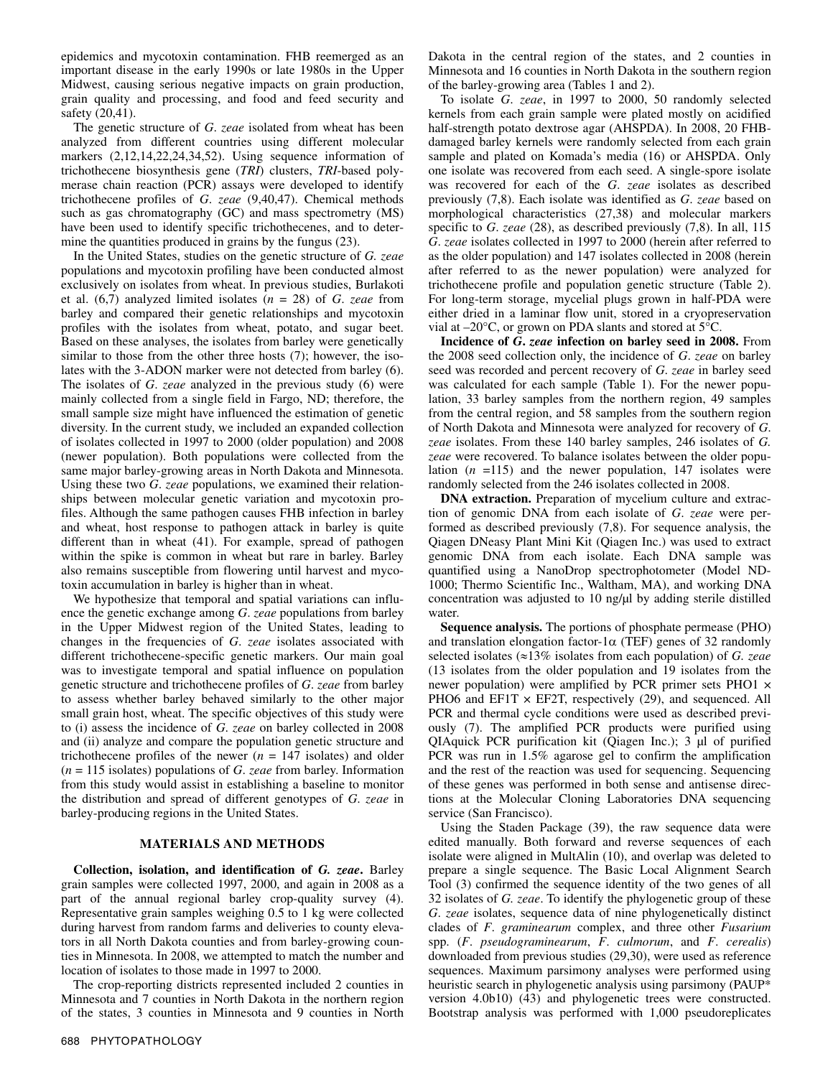epidemics and mycotoxin contamination. FHB reemerged as an important disease in the early 1990s or late 1980s in the Upper Midwest, causing serious negative impacts on grain production, grain quality and processing, and food and feed security and safety (20,41).

The genetic structure of *G*. *zeae* isolated from wheat has been analyzed from different countries using different molecular markers (2,12,14,22,24,34,52). Using sequence information of trichothecene biosynthesis gene (*TRI*) clusters, *TRI*-based polymerase chain reaction (PCR) assays were developed to identify trichothecene profiles of *G*. *zeae* (9,40,47). Chemical methods such as gas chromatography (GC) and mass spectrometry (MS) have been used to identify specific trichothecenes, and to determine the quantities produced in grains by the fungus (23).

In the United States, studies on the genetic structure of *G. zeae*  populations and mycotoxin profiling have been conducted almost exclusively on isolates from wheat. In previous studies, Burlakoti et al.  $(6,7)$  analyzed limited isolates  $(n = 28)$  of *G. zeae* from barley and compared their genetic relationships and mycotoxin profiles with the isolates from wheat, potato, and sugar beet. Based on these analyses, the isolates from barley were genetically similar to those from the other three hosts (7); however, the isolates with the 3-ADON marker were not detected from barley (6). The isolates of *G*. *zeae* analyzed in the previous study (6) were mainly collected from a single field in Fargo, ND; therefore, the small sample size might have influenced the estimation of genetic diversity. In the current study, we included an expanded collection of isolates collected in 1997 to 2000 (older population) and 2008 (newer population). Both populations were collected from the same major barley-growing areas in North Dakota and Minnesota. Using these two *G*. *zeae* populations, we examined their relationships between molecular genetic variation and mycotoxin profiles. Although the same pathogen causes FHB infection in barley and wheat, host response to pathogen attack in barley is quite different than in wheat (41). For example, spread of pathogen within the spike is common in wheat but rare in barley. Barley also remains susceptible from flowering until harvest and mycotoxin accumulation in barley is higher than in wheat.

We hypothesize that temporal and spatial variations can influence the genetic exchange among *G*. *zeae* populations from barley in the Upper Midwest region of the United States, leading to changes in the frequencies of *G*. *zeae* isolates associated with different trichothecene-specific genetic markers. Our main goal was to investigate temporal and spatial influence on population genetic structure and trichothecene profiles of *G*. *zeae* from barley to assess whether barley behaved similarly to the other major small grain host, wheat. The specific objectives of this study were to (i) assess the incidence of *G*. *zeae* on barley collected in 2008 and (ii) analyze and compare the population genetic structure and trichothecene profiles of the newer  $(n = 147$  isolates) and older (*n* = 115 isolates) populations of *G*. *zeae* from barley. Information from this study would assist in establishing a baseline to monitor the distribution and spread of different genotypes of *G*. *zeae* in barley-producing regions in the United States.

## **MATERIALS AND METHODS**

**Collection, isolation, and identification of** *G. zeae***.** Barley grain samples were collected 1997, 2000, and again in 2008 as a part of the annual regional barley crop-quality survey (4). Representative grain samples weighing 0.5 to 1 kg were collected during harvest from random farms and deliveries to county elevators in all North Dakota counties and from barley-growing counties in Minnesota. In 2008, we attempted to match the number and location of isolates to those made in 1997 to 2000.

The crop-reporting districts represented included 2 counties in Minnesota and 7 counties in North Dakota in the northern region of the states, 3 counties in Minnesota and 9 counties in North Dakota in the central region of the states, and 2 counties in Minnesota and 16 counties in North Dakota in the southern region of the barley-growing area (Tables 1 and 2).

To isolate *G*. *zeae*, in 1997 to 2000, 50 randomly selected kernels from each grain sample were plated mostly on acidified half-strength potato dextrose agar (AHSPDA). In 2008, 20 FHBdamaged barley kernels were randomly selected from each grain sample and plated on Komada's media (16) or AHSPDA. Only one isolate was recovered from each seed. A single-spore isolate was recovered for each of the *G*. *zeae* isolates as described previously (7,8). Each isolate was identified as *G*. *zeae* based on morphological characteristics (27,38) and molecular markers specific to *G*. *zeae* (28), as described previously (7,8). In all, 115 *G*. *zeae* isolates collected in 1997 to 2000 (herein after referred to as the older population) and 147 isolates collected in 2008 (herein after referred to as the newer population) were analyzed for trichothecene profile and population genetic structure (Table 2). For long-term storage, mycelial plugs grown in half-PDA were either dried in a laminar flow unit, stored in a cryopreservation vial at –20°C, or grown on PDA slants and stored at 5°C.

**Incidence of** *G***.** *zeae* **infection on barley seed in 2008.** From the 2008 seed collection only, the incidence of *G*. *zeae* on barley seed was recorded and percent recovery of *G*. *zeae* in barley seed was calculated for each sample (Table 1). For the newer population, 33 barley samples from the northern region, 49 samples from the central region, and 58 samples from the southern region of North Dakota and Minnesota were analyzed for recovery of *G*. *zeae* isolates. From these 140 barley samples, 246 isolates of *G. zeae* were recovered. To balance isolates between the older population  $(n = 115)$  and the newer population, 147 isolates were randomly selected from the 246 isolates collected in 2008.

**DNA extraction.** Preparation of mycelium culture and extraction of genomic DNA from each isolate of *G*. *zeae* were performed as described previously (7,8). For sequence analysis, the Qiagen DNeasy Plant Mini Kit (Qiagen Inc.) was used to extract genomic DNA from each isolate. Each DNA sample was quantified using a NanoDrop spectrophotometer (Model ND-1000; Thermo Scientific Inc., Waltham, MA), and working DNA concentration was adjusted to  $10$  ng/ $\mu$ l by adding sterile distilled water.

**Sequence analysis.** The portions of phosphate permease (PHO) and translation elongation factor-1 $\alpha$  (TEF) genes of 32 randomly selected isolates (≈13% isolates from each population) of *G. zeae* (13 isolates from the older population and 19 isolates from the newer population) were amplified by PCR primer sets PHO1 × PHO6 and EF1T  $\times$  EF2T, respectively (29), and sequenced. All PCR and thermal cycle conditions were used as described previously (7). The amplified PCR products were purified using QIAquick PCR purification kit (Qiagen Inc.); 3 µl of purified PCR was run in 1.5% agarose gel to confirm the amplification and the rest of the reaction was used for sequencing. Sequencing of these genes was performed in both sense and antisense directions at the Molecular Cloning Laboratories DNA sequencing service (San Francisco).

Using the Staden Package (39), the raw sequence data were edited manually. Both forward and reverse sequences of each isolate were aligned in MultAlin (10), and overlap was deleted to prepare a single sequence. The Basic Local Alignment Search Tool (3) confirmed the sequence identity of the two genes of all 32 isolates of *G. zeae*. To identify the phylogenetic group of these *G*. *zeae* isolates, sequence data of nine phylogenetically distinct clades of *F*. *graminearum* complex, and three other *Fusarium* spp. (*F*. *pseudograminearum*, *F*. *culmorum*, and *F*. *cerealis*) downloaded from previous studies (29,30), were used as reference sequences. Maximum parsimony analyses were performed using heuristic search in phylogenetic analysis using parsimony (PAUP\* version 4.0b10) (43) and phylogenetic trees were constructed. Bootstrap analysis was performed with 1,000 pseudoreplicates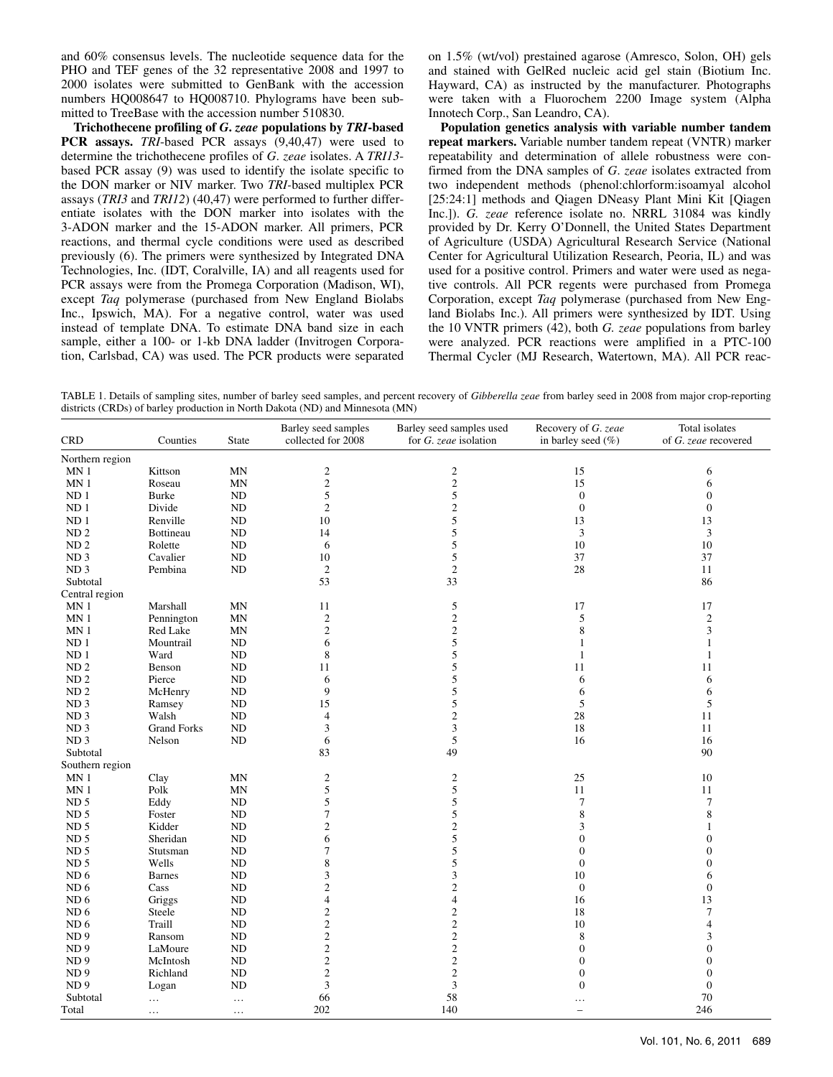and 60% consensus levels. The nucleotide sequence data for the PHO and TEF genes of the 32 representative 2008 and 1997 to 2000 isolates were submitted to GenBank with the accession numbers HQ008647 to HQ008710. Phylograms have been submitted to TreeBase with the accession number 510830.

**Trichothecene profiling of** *G***.** *zeae* **populations by** *TRI***-based PCR assays.** *TRI*-based PCR assays (9,40,47) were used to determine the trichothecene profiles of *G*. *zeae* isolates. A *TRI13* based PCR assay (9) was used to identify the isolate specific to the DON marker or NIV marker. Two *TRI-*based multiplex PCR assays (*TRI3* and *TRI12*) (40,47) were performed to further differentiate isolates with the DON marker into isolates with the 3-ADON marker and the 15-ADON marker. All primers, PCR reactions, and thermal cycle conditions were used as described previously (6). The primers were synthesized by Integrated DNA Technologies, Inc. (IDT, Coralville, IA) and all reagents used for PCR assays were from the Promega Corporation (Madison, WI), except *Taq* polymerase (purchased from New England Biolabs Inc., Ipswich, MA). For a negative control, water was used instead of template DNA. To estimate DNA band size in each sample, either a 100- or 1-kb DNA ladder (Invitrogen Corporation, Carlsbad, CA) was used. The PCR products were separated on 1.5% (wt/vol) prestained agarose (Amresco, Solon, OH) gels and stained with GelRed nucleic acid gel stain (Biotium Inc. Hayward, CA) as instructed by the manufacturer. Photographs were taken with a Fluorochem 2200 Image system (Alpha Innotech Corp., San Leandro, CA).

**Population genetics analysis with variable number tandem repeat markers.** Variable number tandem repeat (VNTR) marker repeatability and determination of allele robustness were confirmed from the DNA samples of *G*. *zeae* isolates extracted from two independent methods (phenol:chlorform:isoamyal alcohol [25:24:1] methods and Qiagen DNeasy Plant Mini Kit [Qiagen] Inc.]). *G. zeae* reference isolate no. NRRL 31084 was kindly provided by Dr. Kerry O'Donnell, the United States Department of Agriculture (USDA) Agricultural Research Service (National Center for Agricultural Utilization Research, Peoria, IL) and was used for a positive control. Primers and water were used as negative controls. All PCR regents were purchased from Promega Corporation, except *Taq* polymerase (purchased from New England Biolabs Inc.). All primers were synthesized by IDT. Using the 10 VNTR primers (42), both *G. zeae* populations from barley were analyzed. PCR reactions were amplified in a PTC-100 Thermal Cycler (MJ Research, Watertown, MA). All PCR reac-

TABLE 1. Details of sampling sites, number of barley seed samples, and percent recovery of *Gibberella zeae* from barley seed in 2008 from major crop-reporting districts (CRDs) of barley production in North Dakota (ND) and Minnesota (MN)

| <b>CRD</b>      | Counties              | State      | Barley seed samples<br>collected for 2008 | Barley seed samples used<br>for G. zeae isolation | Recovery of G. zeae<br>in barley seed (%) | Total isolates<br>of G. zeae recovered |
|-----------------|-----------------------|------------|-------------------------------------------|---------------------------------------------------|-------------------------------------------|----------------------------------------|
| Northern region |                       |            |                                           |                                                   |                                           |                                        |
| MN <sub>1</sub> | Kittson               | <b>MN</b>  | $\sqrt{2}$                                | $\sqrt{2}$                                        | 15                                        | 6                                      |
| MN <sub>1</sub> | Roseau                | MN         | $\overline{c}$                            | $\sqrt{2}$                                        | 15                                        | 6                                      |
| ND <sub>1</sub> | <b>Burke</b>          | ND         | 5                                         | 5                                                 | $\boldsymbol{0}$                          | $\boldsymbol{0}$                       |
| ND <sub>1</sub> | Divide                | <b>ND</b>  | $\overline{2}$                            | $\mathbf{2}$                                      | $\boldsymbol{0}$                          | $\boldsymbol{0}$                       |
| ND <sub>1</sub> | Renville              | ND         | 10                                        | 5                                                 | 13                                        | 13                                     |
| ND <sub>2</sub> | Bottineau             | ND         | 14                                        | 5                                                 | $\mathfrak{Z}$                            | 3                                      |
| ND <sub>2</sub> | Rolette               | <b>ND</b>  | 6                                         | 5                                                 | 10                                        | 10                                     |
| ND <sub>3</sub> | Cavalier              | $\rm ND$   | 10                                        | $\sqrt{5}$                                        | 37                                        | 37                                     |
| ND <sub>3</sub> | Pembina               | $\rm ND$   | $\mathfrak{2}$                            | $\mathfrak{2}$                                    | 28                                        | 11                                     |
| Subtotal        |                       |            | 53                                        | 33                                                |                                           | 86                                     |
| Central region  |                       |            |                                           |                                                   |                                           |                                        |
| MN <sub>1</sub> | Marshall              | MN         | 11                                        | 5                                                 | 17                                        | 17                                     |
| MN <sub>1</sub> | Pennington            | <b>MN</b>  | $\sqrt{2}$                                | $\sqrt{2}$                                        | 5                                         | $\mathfrak{2}$                         |
| MN <sub>1</sub> | Red Lake              |            | $\sqrt{2}$                                | $\overline{c}$                                    | 8                                         | 3                                      |
|                 |                       | <b>MN</b>  |                                           |                                                   |                                           |                                        |
| ND <sub>1</sub> | Mountrail             | ND         | 6                                         | 5                                                 | $\mathbf{1}$                              | $\mathbf{1}$                           |
| ND <sub>1</sub> | Ward                  | ND         | $\,$ 8 $\,$                               | 5                                                 | $\mathbf{1}$                              | $\mathbf{1}$                           |
| ND <sub>2</sub> | Benson                | ND         | 11                                        | 5                                                 | 11                                        | 11                                     |
| ND <sub>2</sub> | Pierce                | $\rm ND$   | 6                                         | $\sqrt{5}$                                        | 6                                         | 6                                      |
| ND <sub>2</sub> | McHenry               | ND         | 9                                         | 5                                                 | 6                                         | 6                                      |
| ND <sub>3</sub> | Ramsey                | ND         | 15                                        | 5                                                 | 5                                         | 5                                      |
| ND <sub>3</sub> | Walsh                 | ND         | $\overline{4}$                            | $\overline{c}$                                    | 28                                        | 11                                     |
| ND <sub>3</sub> | <b>Grand Forks</b>    | ND         | 3                                         | $\overline{3}$                                    | 18                                        | 11                                     |
| ND <sub>3</sub> | Nelson                | $\rm ND$   | 6                                         | $\mathfrak s$                                     | 16                                        | 16                                     |
| Subtotal        |                       |            | 83                                        | 49                                                |                                           | 90                                     |
| Southern region |                       |            |                                           |                                                   |                                           |                                        |
| MN <sub>1</sub> | Clay                  | MN         | $\sqrt{2}$                                | $\boldsymbol{2}$                                  | 25                                        | 10                                     |
| MN <sub>1</sub> | $\operatorname{Polk}$ | <b>MN</b>  | 5                                         | 5                                                 | 11                                        | 11                                     |
| ND <sub>5</sub> | Eddy                  | $\rm ND$   | 5                                         | 5                                                 | $\boldsymbol{7}$                          | $\tau$                                 |
| ND <sub>5</sub> | Foster                | ND         | $\boldsymbol{7}$                          | 5                                                 | 8                                         | $\,$ 8 $\,$                            |
| ND <sub>5</sub> | Kidder                | $\rm ND$   | $\sqrt{2}$                                | $\overline{\mathbf{c}}$                           | 3                                         | $\mathbf{1}$                           |
| ND <sub>5</sub> | Sheridan              | ND         | 6                                         | 5                                                 | $\overline{0}$                            | $\mathbf{0}$                           |
| ND <sub>5</sub> | Stutsman              | $\rm ND$   | $\tau$                                    | 5                                                 | $\mathbf{0}$                              | $\boldsymbol{0}$                       |
| ND <sub>5</sub> | Wells                 | $\rm ND$   | $\,$ 8 $\,$                               | 5                                                 | $\boldsymbol{0}$                          | $\boldsymbol{0}$                       |
| ND <sub>6</sub> | <b>Barnes</b>         | <b>ND</b>  | 3                                         | 3                                                 | 10                                        | 6                                      |
| ND <sub>6</sub> | Cass                  | $\rm ND$   | $\overline{c}$                            | $\sqrt{2}$                                        | $\boldsymbol{0}$                          | $\boldsymbol{0}$                       |
| ND <sub>6</sub> | Griggs                | <b>ND</b>  | $\overline{4}$                            | $\overline{4}$                                    | 16                                        | 13                                     |
| ND <sub>6</sub> | Steele                | ${\rm ND}$ | $\overline{c}$                            | $\mathfrak{2}$                                    | 18                                        | $\boldsymbol{7}$                       |
| ND <sub>6</sub> | Traill                | $\rm ND$   | $\sqrt{2}$                                | $\sqrt{2}$                                        | 10                                        | 4                                      |
| ND <sub>9</sub> | Ransom                | ND         | $\overline{c}$                            | $\sqrt{2}$                                        | 8                                         | 3                                      |
| ND <sub>9</sub> | LaMoure               | $\rm ND$   | $\overline{c}$                            | $\sqrt{2}$                                        | $\boldsymbol{0}$                          | $\boldsymbol{0}$                       |
| ND <sub>9</sub> | McIntosh              | ND         | $\overline{c}$                            | $\sqrt{2}$                                        | $\mathbf{0}$                              | $\mathbf{0}$                           |
| ND <sub>9</sub> | Richland              | $\rm ND$   | $\overline{c}$                            | $\overline{c}$                                    | $\boldsymbol{0}$                          | $\boldsymbol{0}$                       |
| ND <sub>9</sub> | Logan                 | ND         | $\overline{\mathbf{3}}$                   | $\mathfrak{Z}$                                    | $\mathbf{0}$                              | $\boldsymbol{0}$                       |
| Subtotal        |                       |            | 66                                        | 58                                                |                                           | $70\,$                                 |
|                 | $\cdots$              | $\ldots$   | 202                                       | 140                                               |                                           | 246                                    |
| Total           | $\ldots$              | $\ldots$   |                                           |                                                   | $\qquad \qquad -$                         |                                        |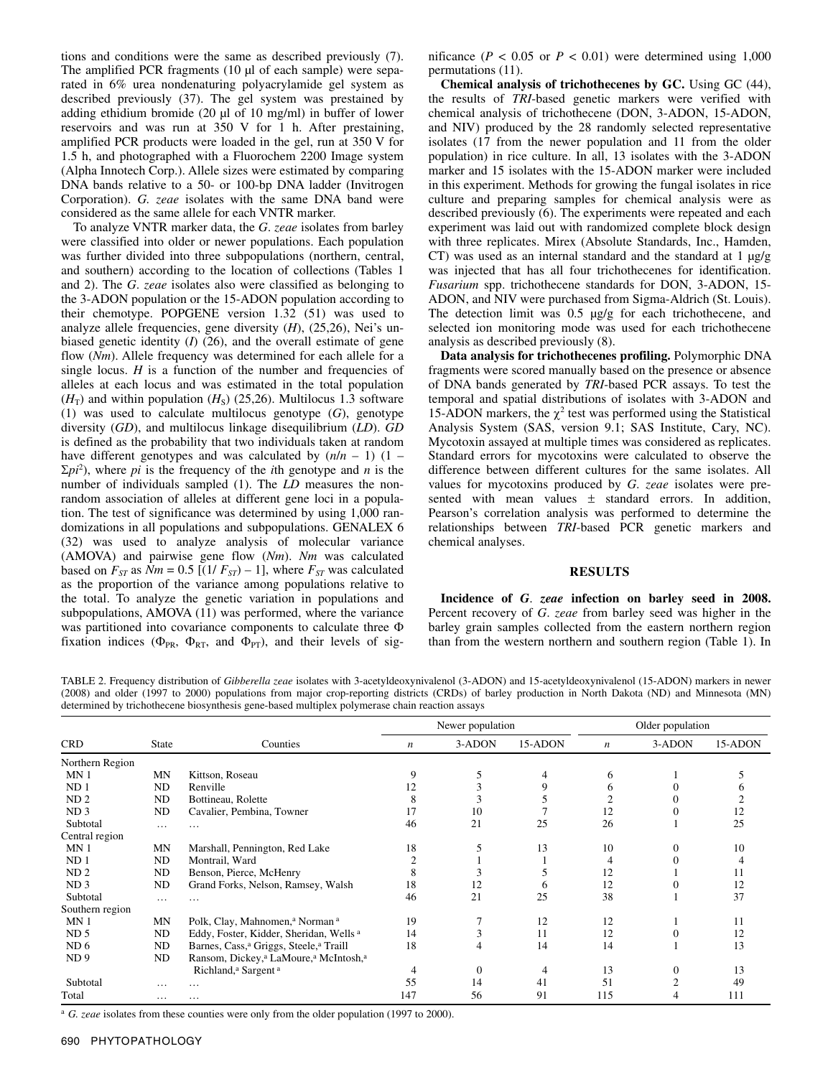tions and conditions were the same as described previously (7). The amplified PCR fragments (10 µl of each sample) were separated in 6% urea nondenaturing polyacrylamide gel system as described previously (37). The gel system was prestained by adding ethidium bromide (20 µl of 10 mg/ml) in buffer of lower reservoirs and was run at 350 V for 1 h. After prestaining, amplified PCR products were loaded in the gel, run at 350 V for 1.5 h, and photographed with a Fluorochem 2200 Image system (Alpha Innotech Corp.). Allele sizes were estimated by comparing DNA bands relative to a 50- or 100-bp DNA ladder (Invitrogen Corporation). *G. zeae* isolates with the same DNA band were considered as the same allele for each VNTR marker.

To analyze VNTR marker data, the *G*. *zeae* isolates from barley were classified into older or newer populations. Each population was further divided into three subpopulations (northern, central, and southern) according to the location of collections (Tables 1 and 2). The *G*. *zeae* isolates also were classified as belonging to the 3-ADON population or the 15-ADON population according to their chemotype. POPGENE version 1.32 (51) was used to analyze allele frequencies, gene diversity (*H*), (25,26), Nei's unbiased genetic identity (*I*) (26), and the overall estimate of gene flow (*Nm*). Allele frequency was determined for each allele for a single locus.  $H$  is a function of the number and frequencies of alleles at each locus and was estimated in the total population  $(H<sub>T</sub>)$  and within population  $(H<sub>S</sub>)$  (25,26). Multilocus 1.3 software (1) was used to calculate multilocus genotype (*G*), genotype diversity (*GD*), and multilocus linkage disequilibrium (*LD*). *GD* is defined as the probability that two individuals taken at random have different genotypes and was calculated by  $(n/n - 1)$  (1 –  $\Sigma p i^2$ ), where *pi* is the frequency of the *i*th genotype and *n* is the number of individuals sampled (1). The *LD* measures the nonrandom association of alleles at different gene loci in a population. The test of significance was determined by using 1,000 randomizations in all populations and subpopulations. GENALEX 6 (32) was used to analyze analysis of molecular variance (AMOVA) and pairwise gene flow (*Nm*). *Nm* was calculated based on  $F_{ST}$  as  $Nm = 0.5$  [(1/ $F_{ST}$ ) – 1], where  $F_{ST}$  was calculated as the proportion of the variance among populations relative to the total. To analyze the genetic variation in populations and subpopulations, AMOVA (11) was performed, where the variance was partitioned into covariance components to calculate three Φ fixation indices ( $\Phi_{PR}$ ,  $\Phi_{RT}$ , and  $\Phi_{PT}$ ), and their levels of significance ( $P < 0.05$  or  $P < 0.01$ ) were determined using 1,000 permutations (11).

**Chemical analysis of trichothecenes by GC.** Using GC (44), the results of *TRI*-based genetic markers were verified with chemical analysis of trichothecene (DON, 3-ADON, 15-ADON, and NIV) produced by the 28 randomly selected representative isolates (17 from the newer population and 11 from the older population) in rice culture. In all, 13 isolates with the 3-ADON marker and 15 isolates with the 15-ADON marker were included in this experiment. Methods for growing the fungal isolates in rice culture and preparing samples for chemical analysis were as described previously (6). The experiments were repeated and each experiment was laid out with randomized complete block design with three replicates. Mirex (Absolute Standards, Inc., Hamden, CT) was used as an internal standard and the standard at 1  $\mu$ g/g was injected that has all four trichothecenes for identification. *Fusarium* spp. trichothecene standards for DON, 3-ADON, 15- ADON, and NIV were purchased from Sigma-Aldrich (St. Louis). The detection limit was 0.5  $\mu$ g/g for each trichothecene, and selected ion monitoring mode was used for each trichothecene analysis as described previously (8).

**Data analysis for trichothecenes profiling.** Polymorphic DNA fragments were scored manually based on the presence or absence of DNA bands generated by *TRI*-based PCR assays. To test the temporal and spatial distributions of isolates with 3-ADON and 15-ADON markers, the  $\chi^2$  test was performed using the Statistical Analysis System (SAS, version 9.1; SAS Institute, Cary, NC). Mycotoxin assayed at multiple times was considered as replicates. Standard errors for mycotoxins were calculated to observe the difference between different cultures for the same isolates. All values for mycotoxins produced by *G*. *zeae* isolates were presented with mean values  $\pm$  standard errors. In addition, Pearson's correlation analysis was performed to determine the relationships between *TRI*-based PCR genetic markers and chemical analyses.

### **RESULTS**

**Incidence of** *G*. *zeae* **infection on barley seed in 2008.**  Percent recovery of *G*. *zeae* from barley seed was higher in the barley grain samples collected from the eastern northern region than from the western northern and southern region (Table 1). In

TABLE 2. Frequency distribution of *Gibberella zeae* isolates with 3-acetyldeoxynivalenol (3-ADON) and 15-acetyldeoxynivalenol (15-ADON) markers in newer (2008) and older (1997 to 2000) populations from major crop-reporting districts (CRDs) of barley production in North Dakota (ND) and Minnesota (MN) determined by trichothecene biosynthesis gene-based multiplex polymerase chain reaction assays

|                 |              |                                                                           | Newer population |              |         | Older population |          |         |
|-----------------|--------------|---------------------------------------------------------------------------|------------------|--------------|---------|------------------|----------|---------|
| <b>CRD</b>      | <b>State</b> | Counties                                                                  | n                | 3-ADON       | 15-ADON | $\boldsymbol{n}$ | 3-ADON   | 15-ADON |
| Northern Region |              |                                                                           |                  |              |         |                  |          |         |
| MN <sub>1</sub> | MN           | Kittson, Roseau                                                           | 9                | C            | 4       | 6                |          |         |
| ND <sub>1</sub> | ND           | Renville                                                                  | 12               | 3            | 9       | 6                |          |         |
| ND <sub>2</sub> | ND           | Bottineau, Rolette                                                        | 8                | 3            |         |                  |          |         |
| ND <sub>3</sub> | ND           | Cavalier, Pembina, Towner                                                 | 17               | 10           |         | 12               |          | 12      |
| Subtotal        | $\cdots$     | .                                                                         | 46               | 21           | 25      | 26               |          | 25      |
| Central region  |              |                                                                           |                  |              |         |                  |          |         |
| MN <sub>1</sub> | MN           | Marshall, Pennington, Red Lake                                            | 18               |              | 13      | 10               | $\Omega$ | 10      |
| ND <sub>1</sub> | ND           | Montrail, Ward                                                            |                  |              |         | 4                |          |         |
| ND <sub>2</sub> | ND           | Benson, Pierce, McHenry                                                   | 8                | 3            |         | 12               |          | 11      |
| ND <sub>3</sub> | ND           | Grand Forks, Nelson, Ramsey, Walsh                                        | 18               | 12           | O       | 12               |          | 12      |
| Subtotal        | $\cdots$     | .                                                                         | 46               | 21           | 25      | 38               |          | 37      |
| Southern region |              |                                                                           |                  |              |         |                  |          |         |
| MN <sub>1</sub> | MN           | Polk, Clay, Mahnomen, <sup>a</sup> Norman <sup>a</sup>                    | 19               |              | 12      | 12               |          | 11      |
| ND <sub>5</sub> | ND           | Eddy, Foster, Kidder, Sheridan, Wells <sup>a</sup>                        | 14               | 3            | 11      | 12               |          | 12      |
| ND <sub>6</sub> | ND           | Barnes, Cass, <sup>a</sup> Griggs, Steele, <sup>a</sup> Traill            | 18               | 4            | 14      | 14               |          | 13      |
| ND <sub>9</sub> | ND           | Ransom, Dickey, <sup>a</sup> LaMoure, <sup>a</sup> McIntosh, <sup>a</sup> |                  |              |         |                  |          |         |
|                 |              | Richland, <sup>a</sup> Sargent <sup>a</sup>                               |                  | $\mathbf{0}$ | 4       | 13               | 0        | 13      |
| Subtotal        | .            |                                                                           | 55               | 14           | 41      | 51               | ↑        | 49      |
| Total           | .            | $\cdots$                                                                  | 147              | 56           | 91      | 115              |          | 111     |

<sup>a</sup> *G. zeae* isolates from these counties were only from the older population (1997 to 2000).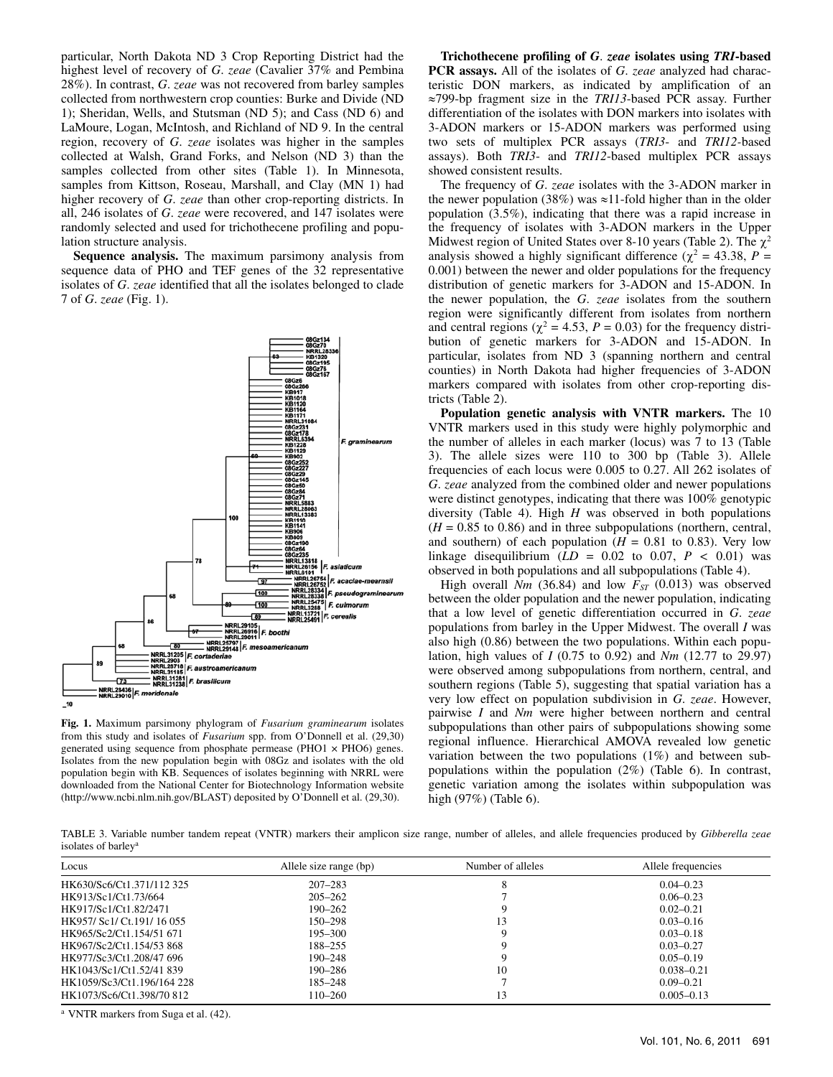particular, North Dakota ND 3 Crop Reporting District had the highest level of recovery of *G*. *zeae* (Cavalier 37% and Pembina 28%). In contrast, *G*. *zeae* was not recovered from barley samples collected from northwestern crop counties: Burke and Divide (ND 1); Sheridan, Wells, and Stutsman (ND 5); and Cass (ND 6) and LaMoure, Logan, McIntosh, and Richland of ND 9. In the central region, recovery of *G*. *zeae* isolates was higher in the samples collected at Walsh, Grand Forks, and Nelson (ND 3) than the samples collected from other sites (Table 1). In Minnesota, samples from Kittson, Roseau, Marshall, and Clay (MN 1) had higher recovery of *G*. *zeae* than other crop-reporting districts. In all, 246 isolates of *G*. *zeae* were recovered, and 147 isolates were randomly selected and used for trichothecene profiling and population structure analysis.

**Sequence analysis.** The maximum parsimony analysis from sequence data of PHO and TEF genes of the 32 representative isolates of *G*. *zeae* identified that all the isolates belonged to clade 7 of *G*. *zeae* (Fig. 1).



**Fig. 1.** Maximum parsimony phylogram of *Fusarium graminearum* isolates from this study and isolates of *Fusarium* spp. from O'Donnell et al. (29,30) generated using sequence from phosphate permease (PHO1 × PHO6) genes. Isolates from the new population begin with 08Gz and isolates with the old population begin with KB. Sequences of isolates beginning with NRRL were downloaded from the National Center for Biotechnology Information website (http://www.ncbi.nlm.nih.gov/BLAST) deposited by O'Donnell et al. (29,30).

**Trichothecene profiling of** *G*. *zeae* **isolates using** *TRI***-based PCR assays.** All of the isolates of *G*. *zeae* analyzed had characteristic DON markers, as indicated by amplification of an ≈799-bp fragment size in the *TRI13*-based PCR assay. Further differentiation of the isolates with DON markers into isolates with 3-ADON markers or 15-ADON markers was performed using two sets of multiplex PCR assays (*TRI3*- and *TRI12-*based assays). Both *TRI3*- and *TRI12*-based multiplex PCR assays showed consistent results.

The frequency of *G*. *zeae* isolates with the 3-ADON marker in the newer population (38%) was  $\approx$ 11-fold higher than in the older population (3.5%), indicating that there was a rapid increase in the frequency of isolates with 3-ADON markers in the Upper Midwest region of United States over 8-10 years (Table 2). The  $\chi^2$ analysis showed a highly significant difference ( $\chi^2 = 43.38$ ,  $P =$ 0.001) between the newer and older populations for the frequency distribution of genetic markers for 3-ADON and 15-ADON. In the newer population, the *G*. *zeae* isolates from the southern region were significantly different from isolates from northern and central regions ( $\chi^2 = 4.53$ ,  $P = 0.03$ ) for the frequency distribution of genetic markers for 3-ADON and 15-ADON. In particular, isolates from ND 3 (spanning northern and central counties) in North Dakota had higher frequencies of 3-ADON markers compared with isolates from other crop-reporting districts (Table 2).

**Population genetic analysis with VNTR markers.** The 10 VNTR markers used in this study were highly polymorphic and the number of alleles in each marker (locus) was 7 to 13 (Table 3). The allele sizes were 110 to 300 bp (Table 3). Allele frequencies of each locus were 0.005 to 0.27. All 262 isolates of *G*. *zeae* analyzed from the combined older and newer populations were distinct genotypes, indicating that there was 100% genotypic diversity (Table 4). High *H* was observed in both populations  $(H = 0.85$  to 0.86) and in three subpopulations (northern, central, and southern) of each population  $(H = 0.81$  to 0.83). Very low linkage disequilibrium  $(LD = 0.02$  to 0.07,  $P < 0.01$ ) was observed in both populations and all subpopulations (Table 4).

High overall  $Nm$  (36.84) and low  $F_{ST}$  (0.013) was observed between the older population and the newer population, indicating that a low level of genetic differentiation occurred in *G*. *zeae* populations from barley in the Upper Midwest. The overall *I* was also high (0.86) between the two populations. Within each population, high values of *I* (0.75 to 0.92) and *Nm* (12.77 to 29.97) were observed among subpopulations from northern, central, and southern regions (Table 5), suggesting that spatial variation has a very low effect on population subdivision in *G*. *zeae*. However, pairwise *I* and *Nm* were higher between northern and central subpopulations than other pairs of subpopulations showing some regional influence. Hierarchical AMOVA revealed low genetic variation between the two populations (1%) and between subpopulations within the population (2%) (Table 6). In contrast, genetic variation among the isolates within subpopulation was high (97%) (Table 6).

TABLE 3. Variable number tandem repeat (VNTR) markers their amplicon size range, number of alleles, and allele frequencies produced by *Gibberella zeae*  isolates of barley<sup>a</sup>

| Locus                       | Allele size range (bp) | Number of alleles | Allele frequencies |
|-----------------------------|------------------------|-------------------|--------------------|
| HK630/Sc6/Ct1.371/112.325   | $207 - 283$            |                   | $0.04 - 0.23$      |
| HK913/Sc1/Ct1.73/664        | $205 - 262$            |                   | $0.06 - 0.23$      |
| HK917/Sc1/Ct1.82/2471       | $190 - 262$            |                   | $0.02 - 0.21$      |
| HK957/ Sc1/ Ct. 191/ 16 055 | 150–298                | 13                | $0.03 - 0.16$      |
| HK965/Sc2/Ct1.154/51 671    | 195–300                |                   | $0.03 - 0.18$      |
| HK967/Sc2/Ct1.154/53.868    | $188 - 255$            |                   | $0.03 - 0.27$      |
| HK977/Sc3/Ct1.208/47 696    | $190 - 248$            |                   | $0.05 - 0.19$      |
| HK1043/Sc1/Ct1.52/41 839    | $190 - 286$            | 10                | $0.038 - 0.21$     |
| HK1059/Sc3/Ct1.196/164 228  | $185 - 248$            |                   | $0.09 - 0.21$      |
| HK1073/Sc6/Ct1.398/70 812   | 110-260                | 13                | $0.005 - 0.13$     |

a VNTR markers from Suga et al. (42).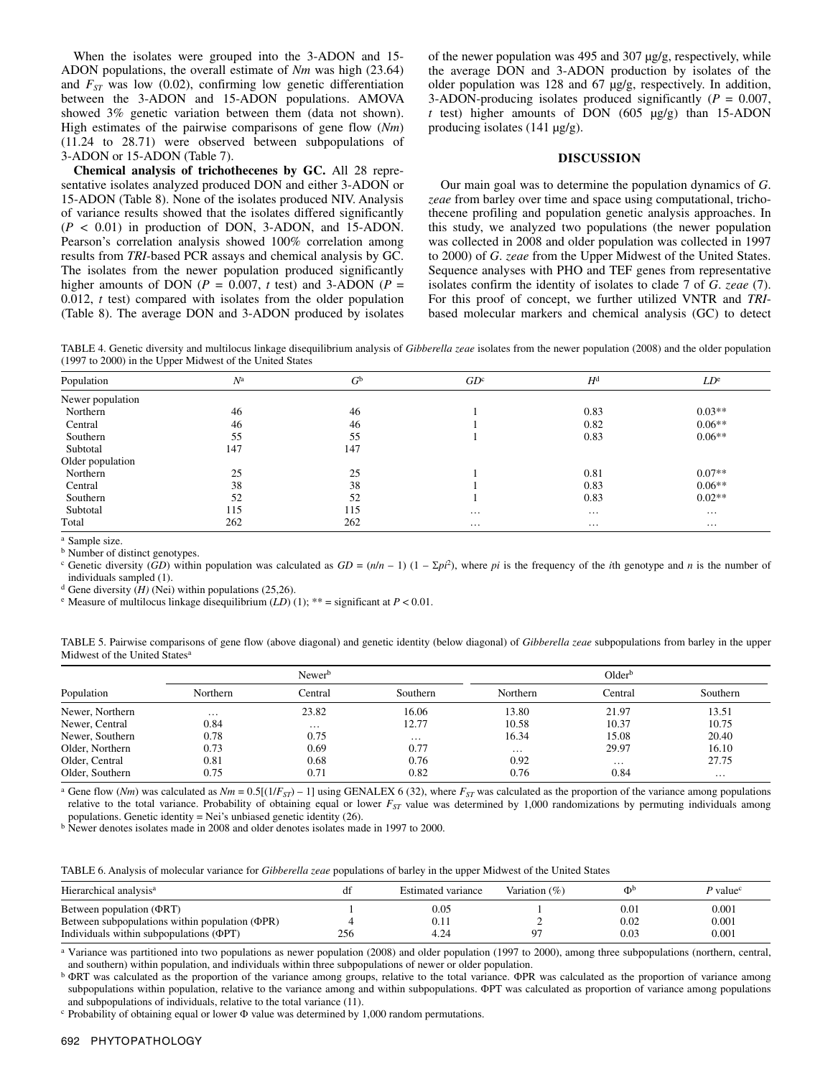When the isolates were grouped into the 3-ADON and 15- ADON populations, the overall estimate of *Nm* was high (23.64) and  $F_{ST}$  was low (0.02), confirming low genetic differentiation between the 3-ADON and 15-ADON populations. AMOVA showed 3% genetic variation between them (data not shown). High estimates of the pairwise comparisons of gene flow (*Nm*) (11.24 to 28.71) were observed between subpopulations of 3-ADON or 15-ADON (Table 7).

**Chemical analysis of trichothecenes by GC.** All 28 representative isolates analyzed produced DON and either 3-ADON or 15-ADON (Table 8). None of the isolates produced NIV. Analysis of variance results showed that the isolates differed significantly  $(P < 0.01)$  in production of DON, 3-ADON, and 15-ADON. Pearson's correlation analysis showed 100% correlation among results from *TRI*-based PCR assays and chemical analysis by GC. The isolates from the newer population produced significantly higher amounts of DON ( $P = 0.007$ , *t* test) and 3-ADON ( $P =$ 0.012, *t* test) compared with isolates from the older population (Table 8). The average DON and 3-ADON produced by isolates of the newer population was 495 and 307 µg/g, respectively, while the average DON and 3-ADON production by isolates of the older population was 128 and 67 µg/g, respectively. In addition, 3-ADON-producing isolates produced significantly (*P* = 0.007,  $t$  test) higher amounts of DON (605  $\mu$ g/g) than 15-ADON producing isolates (141 µg/g).

## **DISCUSSION**

Our main goal was to determine the population dynamics of *G*. *zeae* from barley over time and space using computational, trichothecene profiling and population genetic analysis approaches. In this study, we analyzed two populations (the newer population was collected in 2008 and older population was collected in 1997 to 2000) of *G*. *zeae* from the Upper Midwest of the United States. Sequence analyses with PHO and TEF genes from representative isolates confirm the identity of isolates to clade 7 of *G*. *zeae* (7). For this proof of concept, we further utilized VNTR and *TRI*based molecular markers and chemical analysis (GC) to detect

TABLE 4. Genetic diversity and multilocus linkage disequilibrium analysis of *Gibberella zeae* isolates from the newer population (2008) and the older population (1997 to 2000) in the Upper Midwest of the United States

| Population       | $N^{\rm a}$ | $G^{\rm b}$ | GD <sup>c</sup> | $H^{\rm d}$ | LD <sup>e</sup> |
|------------------|-------------|-------------|-----------------|-------------|-----------------|
| Newer population |             |             |                 |             |                 |
| Northern         | 46          | 46          |                 | 0.83        | $0.03**$        |
| Central          | 46          | 46          |                 | 0.82        | $0.06**$        |
| Southern         | 55          | 55          |                 | 0.83        | $0.06**$        |
| Subtotal         | 147         | 147         |                 |             |                 |
| Older population |             |             |                 |             |                 |
| Northern         | 25          | 25          |                 | 0.81        | $0.07**$        |
| Central          | 38          | 38          |                 | 0.83        | $0.06**$        |
| Southern         | 52          | 52          |                 | 0.83        | $0.02**$        |
| Subtotal         | 115         | 115         | $\cdots$        | $\cdots$    | $\cdots$        |
| Total            | 262         | 262         | $\cdots$        | $\cdots$    | $\cdots$        |

a Sample size.

**b** Number of distinct genotypes.

<sup>c</sup> Genetic diversity (*GD*) within population was calculated as  $GD = (n/n - 1)(1 - \Sigma p)^2$ , where *pi* is the frequency of the *i*th genotype and *n* is the number of individuals sampled (1).<br>d Gene diversity (*H*) (Nei) within populations (25,26).

<sup>e</sup> Measure of multilocus linkage disequilibrium  $(LD)$  (1); \*\* = significant at  $P < 0.01$ .

TABLE 5. Pairwise comparisons of gene flow (above diagonal) and genetic identity (below diagonal) of *Gibberella zeae* subpopulations from barley in the upper Midwest of the United States<sup>a</sup>

|                 |                     | Newer <sup>b</sup> |          | Older <sup>b</sup> |          |          |
|-----------------|---------------------|--------------------|----------|--------------------|----------|----------|
| Population      | Northern<br>Central |                    | Southern | Northern           | Central  | Southern |
| Newer, Northern | $\cdots$            | 23.82              | 16.06    | 13.80              | 21.97    | 13.51    |
| Newer, Central  | 0.84                | $\cdots$           | 12.77    | 10.58              | 10.37    | 10.75    |
| Newer, Southern | 0.78                | 0.75               | $\cdots$ | 16.34              | 15.08    | 20.40    |
| Older, Northern | 0.73                | 0.69               | 0.77     | $\cdots$           | 29.97    | 16.10    |
| Older, Central  | 0.81                | 0.68               | 0.76     | 0.92               | $\cdots$ | 27.75    |
| Older, Southern | 0.75                | 0.71               | 0.82     | 0.76               | 0.84     | $\cdots$ |

<sup>a</sup> Gene flow (*Nm*) was calculated as  $Nm = 0.5[(1/F_{ST}) - 1]$  using GENALEX 6 (32), where  $F_{ST}$  was calculated as the proportion of the variance among populations relative to the total variance. Probability of obtaining equal or lower *F<sub>ST</sub>* value was determined by 1,000 randomizations by permuting individuals among populations. Genetic identity = Nei's unbiased genetic identity (26).

b Newer denotes isolates made in 2008 and older denotes isolates made in 1997 to 2000.

TABLE 6. Analysis of molecular variance for *Gibberella zeae* populations of barley in the upper Midwest of the United States

| Hierarchical analysis <sup>a</sup>                   | df  | Estimated variance | Variation $(\% )$ | Φt        | P value <sup>c</sup> |
|------------------------------------------------------|-----|--------------------|-------------------|-----------|----------------------|
| Between population $(\Phi RT)$                       |     | 0.05               |                   | $_{0.01}$ | $_{0.001}$           |
| Between subpopulations within population $(\Phi PR)$ |     | V.II               |                   | 0.02      | 0.001                |
| Individuals within subpopulations $(\Phi PT)$        | 256 | 4.24               | 07                | 0.03      | 0.001                |

a Variance was partitioned into two populations as newer population (2008) and older population (1997 to 2000), among three subpopulations (northern, central, and southern) within population, and individuals within three subpopulations of newer or older population.

<sup>b</sup> ΦRT was calculated as the proportion of the variance among groups, relative to the total variance. ΦPR was calculated as the proportion of variance among subpopulations within population, relative to the variance among and within subpopulations. ΦPT was calculated as proportion of variance among populations and subpopulations of individuals, relative to the total variance (11).

c Probability of obtaining equal or lower Φ value was determined by 1,000 random permutations.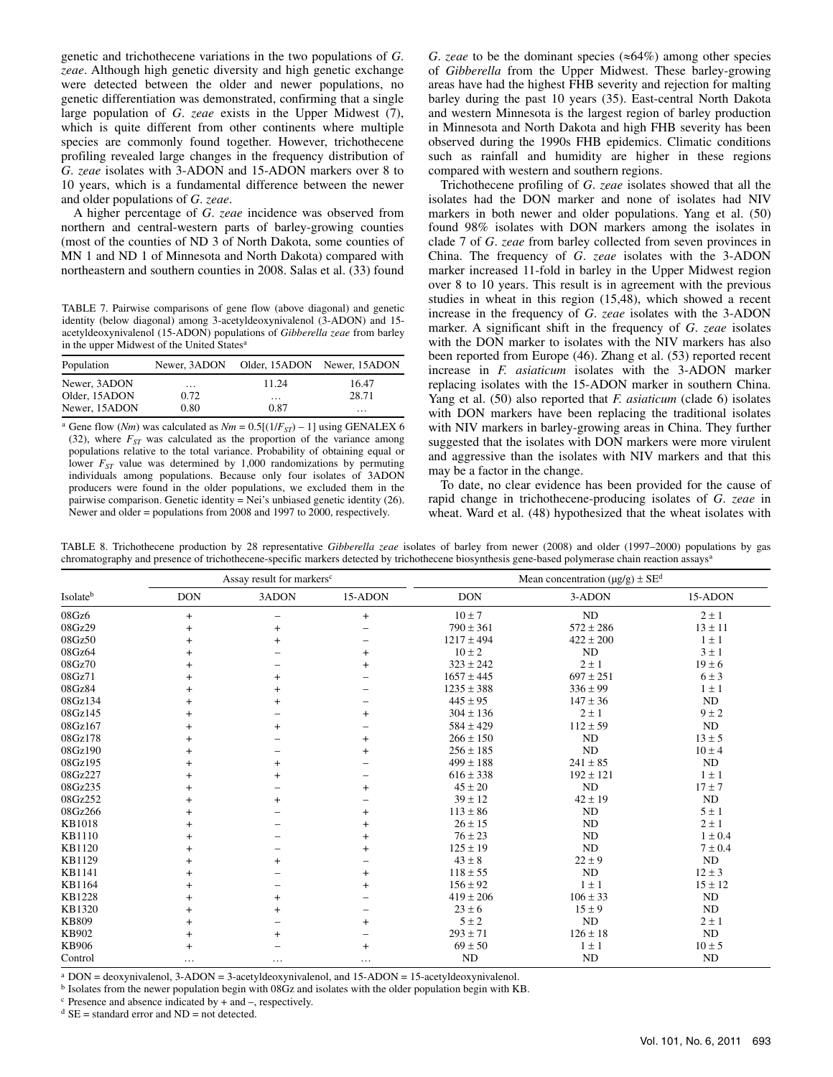genetic and trichothecene variations in the two populations of *G*. *zeae*. Although high genetic diversity and high genetic exchange were detected between the older and newer populations, no genetic differentiation was demonstrated, confirming that a single large population of *G*. *zeae* exists in the Upper Midwest (7), which is quite different from other continents where multiple species are commonly found together. However, trichothecene profiling revealed large changes in the frequency distribution of *G*. *zeae* isolates with 3-ADON and 15-ADON markers over 8 to 10 years, which is a fundamental difference between the newer and older populations of *G*. *zeae*.

A higher percentage of *G*. *zeae* incidence was observed from northern and central-western parts of barley-growing counties (most of the counties of ND 3 of North Dakota, some counties of MN 1 and ND 1 of Minnesota and North Dakota) compared with northeastern and southern counties in 2008. Salas et al. (33) found

TABLE 7. Pairwise comparisons of gene flow (above diagonal) and genetic identity (below diagonal) among 3-acetyldeoxynivalenol (3-ADON) and 15 acetyldeoxynivalenol (15-ADON) populations of *Gibberella zeae* from barley in the upper Midwest of the United States<sup>a</sup>

| Population    |          | Newer, 3ADON Older, 15ADON Newer, 15ADON |          |
|---------------|----------|------------------------------------------|----------|
| Newer, 3ADON  | $\cdots$ | 11.24                                    | 16.47    |
| Older, 15ADON | 0.72     | $\cdots$                                 | 28.71    |
| Newer, 15ADON | 0.80     | 0.87                                     | $\cdots$ |

<sup>a</sup> Gene flow (*Nm*) was calculated as  $Nm = 0.5[(1/F_{ST}) - 1]$  using GENALEX 6 (32), where  $F_{ST}$  was calculated as the proportion of the variance among populations relative to the total variance. Probability of obtaining equal or lower  $F_{ST}$  value was determined by 1,000 randomizations by permuting individuals among populations. Because only four isolates of 3ADON producers were found in the older populations, we excluded them in the pairwise comparison. Genetic identity = Nei's unbiased genetic identity (26). Newer and older = populations from 2008 and 1997 to 2000, respectively.

*G. zeae* to be the dominant species ( $\approx 64\%$ ) among other species of *Gibberella* from the Upper Midwest. These barley-growing areas have had the highest FHB severity and rejection for malting barley during the past 10 years (35). East-central North Dakota and western Minnesota is the largest region of barley production in Minnesota and North Dakota and high FHB severity has been observed during the 1990s FHB epidemics. Climatic conditions such as rainfall and humidity are higher in these regions compared with western and southern regions.

Trichothecene profiling of *G*. *zeae* isolates showed that all the isolates had the DON marker and none of isolates had NIV markers in both newer and older populations. Yang et al. (50) found 98% isolates with DON markers among the isolates in clade 7 of *G*. *zeae* from barley collected from seven provinces in China. The frequency of *G*. *zeae* isolates with the 3-ADON marker increased 11-fold in barley in the Upper Midwest region over 8 to 10 years. This result is in agreement with the previous studies in wheat in this region (15,48), which showed a recent increase in the frequency of *G*. *zeae* isolates with the 3-ADON marker. A significant shift in the frequency of *G*. *zeae* isolates with the DON marker to isolates with the NIV markers has also been reported from Europe (46). Zhang et al. (53) reported recent increase in *F. asiaticum* isolates with the 3-ADON marker replacing isolates with the 15-ADON marker in southern China. Yang et al. (50) also reported that *F. asiaticum* (clade 6) isolates with DON markers have been replacing the traditional isolates with NIV markers in barley-growing areas in China. They further suggested that the isolates with DON markers were more virulent and aggressive than the isolates with NIV markers and that this may be a factor in the change.

To date, no clear evidence has been provided for the cause of rapid change in trichothecene-producing isolates of *G*. *zeae* in wheat. Ward et al. (48) hypothesized that the wheat isolates with

|               |            | Assay result for markers <sup>c</sup> |                          | Mean concentration ( $\mu$ g/g) ± SE <sup>d</sup> |               |             |  |
|---------------|------------|---------------------------------------|--------------------------|---------------------------------------------------|---------------|-------------|--|
| Isolateb      | <b>DON</b> | 3ADON                                 | 15-ADON                  | <b>DON</b>                                        | 3-ADON        | 15-ADON     |  |
| 08Gz6         | $+$        |                                       | $\ddot{}$                | $10 \pm 7$                                        | ND            | $2 \pm 1$   |  |
| 08Gz29        | $+$        | $+$                                   |                          | $790 \pm 361$                                     | $572 \pm 286$ | $13 \pm 11$ |  |
| 08Gz50        | $\ddot{}$  | $+$                                   |                          | $1217 \pm 494$                                    | $422 \pm 200$ | $1 \pm 1$   |  |
| 08Gz64        | $+$        |                                       | $\ddot{}$                | $10 \pm 2$                                        | <b>ND</b>     | $3 \pm 1$   |  |
| 08Gz70        | $+$        |                                       | $\ddot{}$                | $323 \pm 242$                                     | $2 \pm 1$     | $19 \pm 6$  |  |
| 08Gz71        | $\ddot{}$  | $+$                                   | $\overline{\phantom{0}}$ | $1657 \pm 445$                                    | $697 \pm 251$ | $6 \pm 3$   |  |
| 08Gz84        | $\ddot{}$  | $+$                                   |                          | $1235 \pm 388$                                    | $336 \pm 99$  | $1 \pm 1$   |  |
| 08Gz134       | $+$        | $+$                                   |                          | $445 \pm 95$                                      | $147 \pm 36$  | ND          |  |
| 08Gz145       | $\ddot{}$  |                                       | $\ddot{}$                | $304 \pm 136$                                     | $2 \pm 1$     | $9 \pm 2$   |  |
| 08Gz167       | $^{+}$     | $+$                                   |                          | $584 \pm 429$                                     | $112 \pm 59$  | ND          |  |
| 08Gz178       | $^{+}$     |                                       | $\ddot{}$                | $266 \pm 150$                                     | ND            | $13 \pm 5$  |  |
| 08Gz190       | $^{+}$     |                                       | $\ddot{}$                | $256 \pm 185$                                     | <b>ND</b>     | $10 \pm 4$  |  |
| 08Gz195       | $^{+}$     | $+$                                   |                          | $499 \pm 188$                                     | $241 \pm 85$  | $\rm ND$    |  |
| 08Gz227       | $^{+}$     | $+$                                   |                          | $616 \pm 338$                                     | $192 \pm 121$ | $1 \pm 1$   |  |
| 08Gz235       | $\ddot{}$  |                                       | $\ddot{}$                | $45 \pm 20$                                       | <b>ND</b>     | $17 \pm 7$  |  |
| 08Gz252       | $\ddot{}$  | $\overline{+}$                        |                          | $39 \pm 12$                                       | $42 \pm 19$   | ND          |  |
| 08Gz266       | $\ddot{}$  |                                       | $\ddot{}$                | $113 \pm 86$                                      | ND            | $5 \pm 1$   |  |
| <b>KB1018</b> | $+$        |                                       | $\ddot{}$                | $26 \pm 15$                                       | ND            | $2 \pm 1$   |  |
| <b>KB1110</b> | $\ddot{}$  |                                       | $\ddot{}$                | $76 \pm 23$                                       | <b>ND</b>     | $1 \pm 0.4$ |  |
| KB1120        | $+$        |                                       | $\ddot{}$                | $125 \pm 19$                                      | ND            | $7 \pm 0.4$ |  |
| KB1129        | $+$        | $+$                                   |                          | $43 \pm 8$                                        | $22 \pm 9$    | $\rm ND$    |  |
| KB1141        | $\ddot{}$  |                                       | $\ddot{}$                | $118 \pm 55$                                      | ND            | $12 \pm 3$  |  |
| KB1164        | $+$        |                                       | $\ddot{}$                | $156 \pm 92$                                      | $1 \pm 1$     | $15 \pm 12$ |  |
| KB1228        | $+$        | $^{+}$                                |                          | $419 \pm 206$                                     | $106 \pm 33$  | $\rm ND$    |  |
| KB1320        | $\ddot{}$  | $+$                                   |                          | $23 \pm 6$                                        | $15 \pm 9$    | ND          |  |
| <b>KB809</b>  | $+$        |                                       | $\ddot{}$                | $5 \pm 2$                                         | $\rm ND$      | $2 \pm 1$   |  |
| KB902         | $+$        | $\,^+$                                |                          | $293 \pm 71$                                      | $126 \pm 18$  | $\rm ND$    |  |
| <b>KB906</b>  | $+$        |                                       | $\ddot{}$                | $69 \pm 50$                                       | $1 \pm 1$     | $10 \pm 5$  |  |
| Control       | $\cdots$   | $\cdots$                              | $\cdots$                 | ND                                                | ND            | ND          |  |

TABLE 8. Trichothecene production by 28 representative *Gibberella zeae* isolates of barley from newer (2008) and older (1997–2000) populations by gas chromatography and presence of trichothecene-specific markers detected by trichothecene biosynthesis gene-based polymerase chain reaction assays<sup>a</sup>

<sup>a</sup> DON = deoxynivalenol, 3-ADON = 3-acetyldeoxynivalenol, and 15-ADON = 15-acetyldeoxynivalenol.<br><sup>b</sup> Isolates from the newer population begin with 08Gz and isolates with the older population begin with KB.

 $c$  Presence and absence indicated by  $+$  and  $-$ , respectively.

 $d$  SE = standard error and ND = not detected.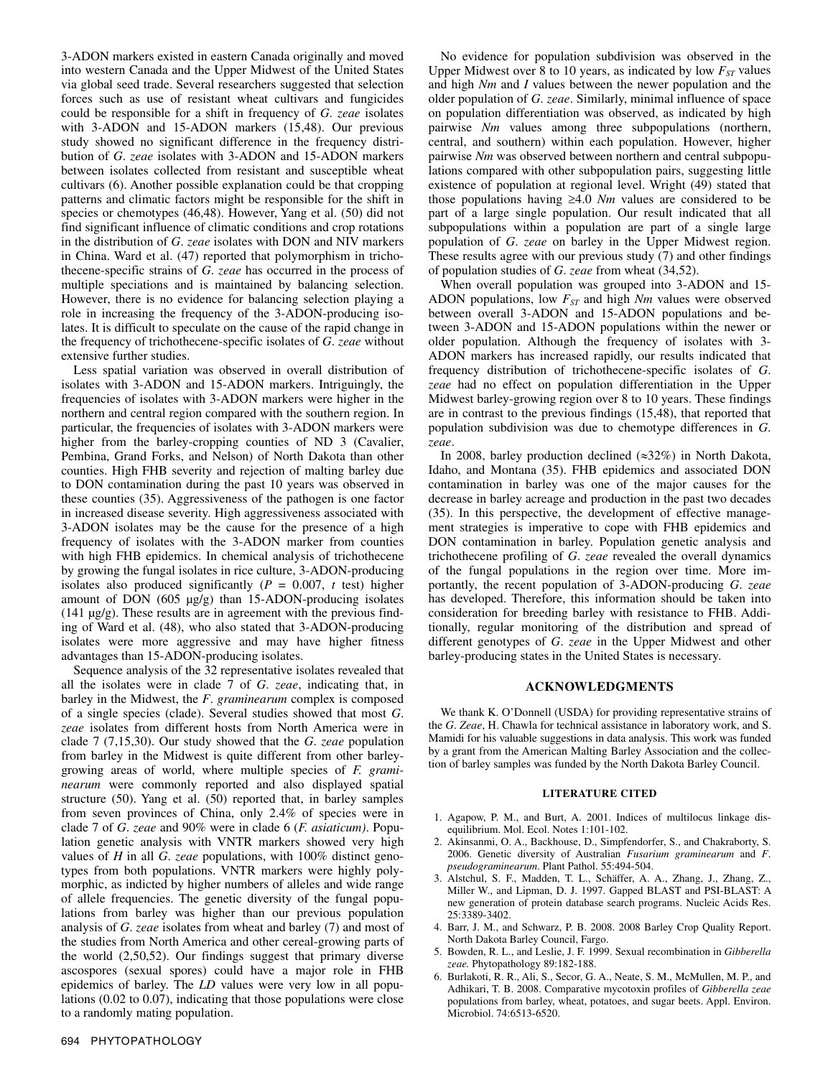3-ADON markers existed in eastern Canada originally and moved into western Canada and the Upper Midwest of the United States via global seed trade. Several researchers suggested that selection forces such as use of resistant wheat cultivars and fungicides could be responsible for a shift in frequency of *G*. *zeae* isolates with 3-ADON and 15-ADON markers (15,48). Our previous study showed no significant difference in the frequency distribution of *G*. *zeae* isolates with 3-ADON and 15-ADON markers between isolates collected from resistant and susceptible wheat cultivars (6). Another possible explanation could be that cropping patterns and climatic factors might be responsible for the shift in species or chemotypes (46,48). However, Yang et al. (50) did not find significant influence of climatic conditions and crop rotations in the distribution of *G*. *zeae* isolates with DON and NIV markers in China. Ward et al. (47) reported that polymorphism in trichothecene-specific strains of *G*. *zeae* has occurred in the process of multiple speciations and is maintained by balancing selection. However, there is no evidence for balancing selection playing a role in increasing the frequency of the 3-ADON-producing isolates. It is difficult to speculate on the cause of the rapid change in the frequency of trichothecene-specific isolates of *G*. *zeae* without extensive further studies.

Less spatial variation was observed in overall distribution of isolates with 3-ADON and 15-ADON markers. Intriguingly, the frequencies of isolates with 3-ADON markers were higher in the northern and central region compared with the southern region. In particular, the frequencies of isolates with 3-ADON markers were higher from the barley-cropping counties of ND 3 (Cavalier, Pembina, Grand Forks, and Nelson) of North Dakota than other counties. High FHB severity and rejection of malting barley due to DON contamination during the past 10 years was observed in these counties (35). Aggressiveness of the pathogen is one factor in increased disease severity. High aggressiveness associated with 3-ADON isolates may be the cause for the presence of a high frequency of isolates with the 3-ADON marker from counties with high FHB epidemics. In chemical analysis of trichothecene by growing the fungal isolates in rice culture, 3-ADON-producing isolates also produced significantly  $(P = 0.007, t \text{ test})$  higher amount of DON (605 µg/g) than 15-ADON-producing isolates  $(141 \mu g/g)$ . These results are in agreement with the previous finding of Ward et al. (48), who also stated that 3-ADON-producing isolates were more aggressive and may have higher fitness advantages than 15-ADON-producing isolates.

Sequence analysis of the 32 representative isolates revealed that all the isolates were in clade 7 of *G*. *zeae*, indicating that, in barley in the Midwest, the *F*. *graminearum* complex is composed of a single species (clade). Several studies showed that most *G*. *zeae* isolates from different hosts from North America were in clade 7 (7,15,30). Our study showed that the *G*. *zeae* population from barley in the Midwest is quite different from other barleygrowing areas of world, where multiple species of *F. graminearum* were commonly reported and also displayed spatial structure (50). Yang et al. (50) reported that, in barley samples from seven provinces of China, only 2.4% of species were in clade 7 of *G*. *zeae* and 90% were in clade 6 (*F. asiaticum)*. Population genetic analysis with VNTR markers showed very high values of *H* in all *G*. *zeae* populations, with 100% distinct genotypes from both populations. VNTR markers were highly polymorphic, as indicted by higher numbers of alleles and wide range of allele frequencies. The genetic diversity of the fungal populations from barley was higher than our previous population analysis of *G*. *zeae* isolates from wheat and barley (7) and most of the studies from North America and other cereal-growing parts of the world (2,50,52). Our findings suggest that primary diverse ascospores (sexual spores) could have a major role in FHB epidemics of barley. The *LD* values were very low in all populations (0.02 to 0.07), indicating that those populations were close to a randomly mating population.

No evidence for population subdivision was observed in the Upper Midwest over 8 to 10 years, as indicated by low  $F_{ST}$  values and high *Nm* and *I* values between the newer population and the older population of *G*. *zeae*. Similarly, minimal influence of space on population differentiation was observed, as indicated by high pairwise *Nm* values among three subpopulations (northern, central, and southern) within each population. However, higher pairwise *Nm* was observed between northern and central subpopulations compared with other subpopulation pairs, suggesting little existence of population at regional level. Wright (49) stated that those populations having ≥4.0 *Nm* values are considered to be part of a large single population. Our result indicated that all subpopulations within a population are part of a single large population of *G*. *zeae* on barley in the Upper Midwest region. These results agree with our previous study (7) and other findings of population studies of *G*. *zeae* from wheat (34,52).

When overall population was grouped into 3-ADON and 15- ADON populations, low  $F_{ST}$  and high *Nm* values were observed between overall 3-ADON and 15-ADON populations and between 3-ADON and 15-ADON populations within the newer or older population. Although the frequency of isolates with 3- ADON markers has increased rapidly, our results indicated that frequency distribution of trichothecene-specific isolates of *G*. *zeae* had no effect on population differentiation in the Upper Midwest barley-growing region over 8 to 10 years. These findings are in contrast to the previous findings (15,48), that reported that population subdivision was due to chemotype differences in *G*. *zeae*.

In 2008, barley production declined (≈32%) in North Dakota, Idaho, and Montana (35). FHB epidemics and associated DON contamination in barley was one of the major causes for the decrease in barley acreage and production in the past two decades (35). In this perspective, the development of effective management strategies is imperative to cope with FHB epidemics and DON contamination in barley. Population genetic analysis and trichothecene profiling of *G*. *zeae* revealed the overall dynamics of the fungal populations in the region over time. More importantly, the recent population of 3-ADON-producing *G*. *zeae* has developed. Therefore, this information should be taken into consideration for breeding barley with resistance to FHB. Additionally, regular monitoring of the distribution and spread of different genotypes of *G*. *zeae* in the Upper Midwest and other barley-producing states in the United States is necessary.

## **ACKNOWLEDGMENTS**

We thank K. O'Donnell (USDA) for providing representative strains of the *G*. *Zeae*, H. Chawla for technical assistance in laboratory work, and S. Mamidi for his valuable suggestions in data analysis. This work was funded by a grant from the American Malting Barley Association and the collection of barley samples was funded by the North Dakota Barley Council.

#### **LITERATURE CITED**

- 1. Agapow, P. M., and Burt, A. 2001. Indices of multilocus linkage disequilibrium. Mol. Ecol. Notes 1:101-102.
- 2. Akinsanmi, O. A., Backhouse, D., Simpfendorfer, S., and Chakraborty, S. 2006. Genetic diversity of Australian *Fusarium graminearum* and *F*. *pseudograminearum*. Plant Pathol. 55:494-504.
- 3. Alstchul, S. F., Madden, T. L., Schäffer, A. A., Zhang, J., Zhang, Z., Miller W., and Lipman, D. J. 1997. Gapped BLAST and PSI-BLAST: A new generation of protein database search programs. Nucleic Acids Res. 25:3389-3402.
- 4. Barr, J. M., and Schwarz, P. B. 2008. 2008 Barley Crop Quality Report. North Dakota Barley Council, Fargo.
- 5. Bowden, R. L., and Leslie, J. F. 1999. Sexual recombination in *Gibberella zeae.* Phytopathology 89:182-188.
- 6. Burlakoti, R. R., Ali, S., Secor, G. A., Neate, S. M., McMullen, M. P., and Adhikari, T. B. 2008. Comparative mycotoxin profiles of *Gibberella zeae*  populations from barley, wheat, potatoes, and sugar beets. Appl. Environ. Microbiol. 74:6513-6520.